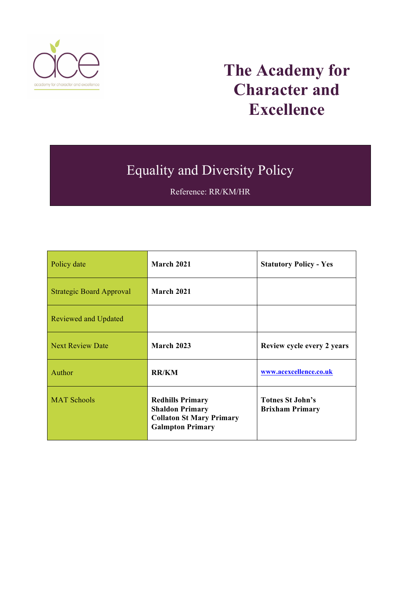

# **The Academy for Character and Excellence**

## Equality and Diversity Policy

Reference: RR/KM/HR

| Policy date                     | <b>March 2021</b>                                                                                               | <b>Statutory Policy - Yes</b>                     |
|---------------------------------|-----------------------------------------------------------------------------------------------------------------|---------------------------------------------------|
| <b>Strategic Board Approval</b> | <b>March 2021</b>                                                                                               |                                                   |
| Reviewed and Updated            |                                                                                                                 |                                                   |
| Next Review Date                | <b>March 2023</b>                                                                                               | Review cycle every 2 years                        |
| Author                          | <b>RR/KM</b>                                                                                                    | www.acexcellence.co.uk                            |
| <b>MAT Schools</b>              | <b>Redhills Primary</b><br><b>Shaldon Primary</b><br><b>Collaton St Mary Primary</b><br><b>Galmpton Primary</b> | <b>Totnes St.John's</b><br><b>Brixham Primary</b> |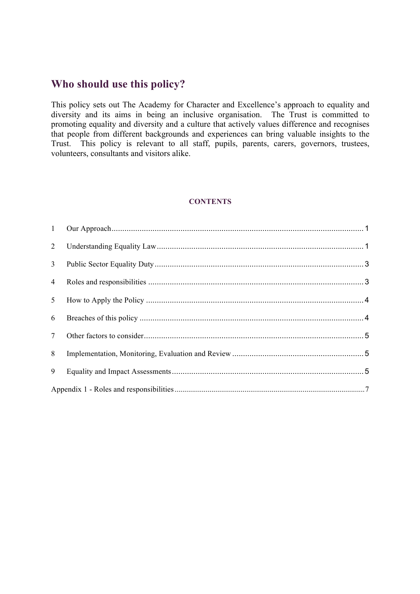### **Who should use this policy?**

This policy sets out The Academy for Character and Excellence's approach to equality and diversity and its aims in being an inclusive organisation. The Trust is committed to promoting equality and diversity and a culture that actively values difference and recognises that people from different backgrounds and experiences can bring valuable insights to the Trust. This policy is relevant to all staff, pupils, parents, carers, governors, trustees, volunteers, consultants and visitors alike.

#### **CONTENTS**

| 3 <sup>7</sup>  |  |
|-----------------|--|
| $\overline{4}$  |  |
|                 |  |
| 6               |  |
| $7\overline{ }$ |  |
| 8               |  |
| 9               |  |
|                 |  |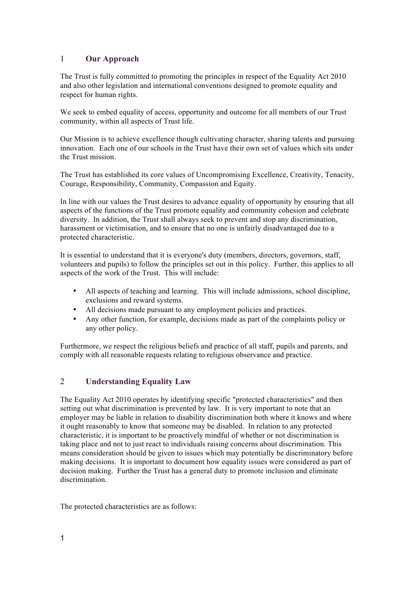#### <span id="page-2-0"></span>1 **Our Approach**

The Trust is fully committed to promoting the principles in respect of the Equality Act 2010 and also other legislation and international conventions designed to promote equality and respect for human rights.

We seek to embed equality of access, opportunity and outcome for all members of our Trust community, within all aspects of Trust life.

Our Mission is to achieve excellence though cultivating character, sharing talents and pursuing innovation. Each one of our schools in the Trust have their own set of values which sits under the Trust mission.

The Trust has established its core values of Uncompromising Excellence, Creativity, Tenacity, Courage, Responsibility, Community, Compassion and Equity.

In line with our values the Trust desires to advance equality of opportunity by ensuring that all aspects of the functions of the Trust promote equality and community cohesion and celebrate diversity. In addition, the Trust shall always seek to prevent and stop any discrimination, harassment or victimisation, and to ensure that no one is unfairly disadvantaged due to a protected characteristic.

It is essential to understand that it is everyone's duty (members, directors, governors, staff, volunteers and pupils) to follow the principles set out in this policy. Further, this applies to all aspects of the work of the Trust. This will include:

- All aspects of teaching and learning. This will include admissions, school discipline, exclusions and reward systems.
- All decisions made pursuant to any employment policies and practices.
- Any other function, for example, decisions made as part of the complaints policy or any other policy.

Furthermore, we respect the religious beliefs and practice of all staff, pupils and parents, and comply with all reasonable requests relating to religious observance and practice.

#### <span id="page-2-1"></span>2 **Understanding Equality Law**

The Equality Act 2010 operates by identifying specific "protected characteristics" and then setting out what discrimination is prevented by law. It is very important to note that an employer may be liable in relation to disability discrimination both where it knows and where it ought reasonably to know that someone may be disabled. In relation to any protected characteristic, it is important to be proactively mindful of whether or not discrimination is taking place and not to just react to individuals raising concerns about discrimination. This means consideration should be given to issues which may potentially be discriminatory before making decisions. It is important to document how equality issues were considered as part of decision making. Further the Trust has a general duty to promote inclusion and eliminate discrimination.

The protected characteristics are as follows: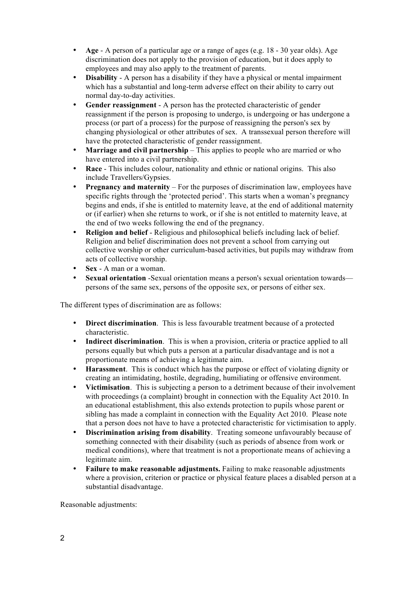- **Age** A person of a particular age or a range of ages (e.g. 18 30 year olds). Age discrimination does not apply to the provision of education, but it does apply to employees and may also apply to the treatment of parents.
- **Disability** A person has a disability if they have a physical or mental impairment which has a substantial and long-term adverse effect on their ability to carry out normal day-to-day activities.
- Gender reassignment A person has the protected characteristic of gender reassignment if the person is proposing to undergo, is undergoing or has undergone a process (or part of a process) for the purpose of reassigning the person's sex by changing physiological or other attributes of sex. A transsexual person therefore will have the protected characteristic of gender reassignment.
- **Marriage and civil partnership** This applies to people who are married or who have entered into a civil partnership.
- **Race** This includes colour, nationality and ethnic or national origins. This also include Travellers/Gypsies.
- **Pregnancy and maternity** For the purposes of discrimination law, employees have specific rights through the 'protected period'. This starts when a woman's pregnancy begins and ends, if she is entitled to maternity leave, at the end of additional maternity or (if earlier) when she returns to work, or if she is not entitled to maternity leave, at the end of two weeks following the end of the pregnancy.
- **Religion and belief** Religious and philosophical beliefs including lack of belief. Religion and belief discrimination does not prevent a school from carrying out collective worship or other curriculum-based activities, but pupils may withdraw from acts of collective worship.
- **Sex** A man or a woman.
- **Sexual orientation** -Sexual orientation means a person's sexual orientation towards persons of the same sex, persons of the opposite sex, or persons of either sex.

The different types of discrimination are as follows:

- **Direct discrimination**. This is less favourable treatment because of a protected characteristic.
- **Indirect discrimination**. This is when a provision, criteria or practice applied to all persons equally but which puts a person at a particular disadvantage and is not a proportionate means of achieving a legitimate aim.
- **Harassment**. This is conduct which has the purpose or effect of violating dignity or creating an intimidating, hostile, degrading, humiliating or offensive environment.
- **Victimisation**. This is subjecting a person to a detriment because of their involvement with proceedings (a complaint) brought in connection with the Equality Act 2010. In an educational establishment, this also extends protection to pupils whose parent or sibling has made a complaint in connection with the Equality Act 2010. Please note that a person does not have to have a protected characteristic for victimisation to apply.
- **Discrimination arising from disability**. Treating someone unfavourably because of something connected with their disability (such as periods of absence from work or medical conditions), where that treatment is not a proportionate means of achieving a legitimate aim.
- **Failure to make reasonable adjustments.** Failing to make reasonable adjustments where a provision, criterion or practice or physical feature places a disabled person at a substantial disadvantage.

Reasonable adjustments: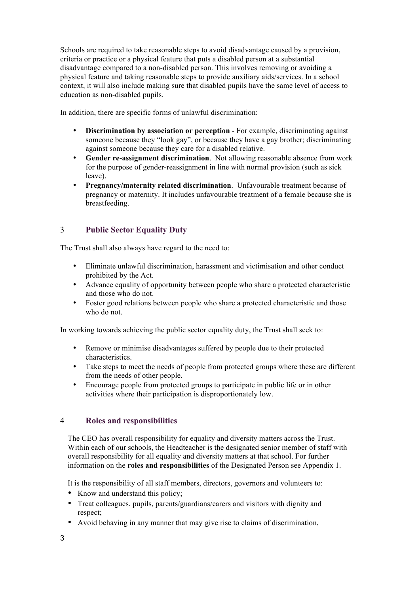Schools are required to take reasonable steps to avoid disadvantage caused by a provision, criteria or practice or a physical feature that puts a disabled person at a substantial disadvantage compared to a non-disabled person. This involves removing or avoiding a physical feature and taking reasonable steps to provide auxiliary aids/services. In a school context, it will also include making sure that disabled pupils have the same level of access to education as non-disabled pupils.

In addition, there are specific forms of unlawful discrimination:

- **Discrimination by association or perception** For example, discriminating against someone because they "look gay", or because they have a gay brother; discriminating against someone because they care for a disabled relative.
- **Gender re-assignment discrimination**. Not allowing reasonable absence from work for the purpose of gender-reassignment in line with normal provision (such as sick leave).
- **Pregnancy/maternity related discrimination**. Unfavourable treatment because of pregnancy or maternity. It includes unfavourable treatment of a female because she is breastfeeding.

#### <span id="page-4-0"></span>3 **Public Sector Equality Duty**

The Trust shall also always have regard to the need to:

- Eliminate unlawful discrimination, harassment and victimisation and other conduct prohibited by the Act.
- Advance equality of opportunity between people who share a protected characteristic and those who do not.
- Foster good relations between people who share a protected characteristic and those who do not.

In working towards achieving the public sector equality duty, the Trust shall seek to:

- Remove or minimise disadvantages suffered by people due to their protected characteristics.
- Take steps to meet the needs of people from protected groups where these are different from the needs of other people.
- Encourage people from protected groups to participate in public life or in other activities where their participation is disproportionately low.

#### <span id="page-4-1"></span>4 **Roles and responsibilities**

The CEO has overall responsibility for equality and diversity matters across the Trust. Within each of our schools, the Headteacher is the designated senior member of staff with overall responsibility for all equality and diversity matters at that school. For further information on the **roles and responsibilities** of the Designated Person see Appendix 1.

It is the responsibility of all staff members, directors, governors and volunteers to:

- Know and understand this policy;
- Treat colleagues, pupils, parents/guardians/carers and visitors with dignity and respect;
- Avoid behaving in any manner that may give rise to claims of discrimination,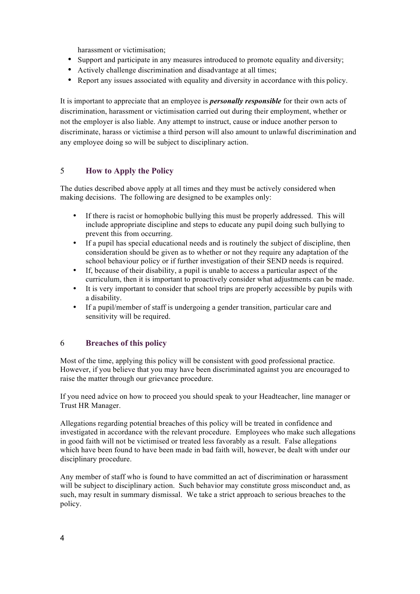harassment or victimisation;

- Support and participate in any measures introduced to promote equality and diversity;
- Actively challenge discrimination and disadvantage at all times;
- Report any issues associated with equality and diversity in accordance with this policy.

It is important to appreciate that an employee is *personally responsible* for their own acts of discrimination, harassment or victimisation carried out during their employment, whether or not the employer is also liable. Any attempt to instruct, cause or induce another person to discriminate, harass or victimise a third person will also amount to unlawful discrimination and any employee doing so will be subject to disciplinary action.

#### <span id="page-5-0"></span>5 **How to Apply the Policy**

The duties described above apply at all times and they must be actively considered when making decisions. The following are designed to be examples only:

- If there is racist or homophobic bullying this must be properly addressed. This will include appropriate discipline and steps to educate any pupil doing such bullying to prevent this from occurring.
- If a pupil has special educational needs and is routinely the subject of discipline, then consideration should be given as to whether or not they require any adaptation of the school behaviour policy or if further investigation of their SEND needs is required.
- If, because of their disability, a pupil is unable to access a particular aspect of the curriculum, then it is important to proactively consider what adjustments can be made.
- It is very important to consider that school trips are properly accessible by pupils with a disability.
- If a pupil/member of staff is undergoing a gender transition, particular care and sensitivity will be required.

#### <span id="page-5-1"></span>6 **Breaches of this policy**

Most of the time, applying this policy will be consistent with good professional practice. However, if you believe that you may have been discriminated against you are encouraged to raise the matter through our grievance procedure.

If you need advice on how to proceed you should speak to your Headteacher, line manager or Trust HR Manager.

Allegations regarding potential breaches of this policy will be treated in confidence and investigated in accordance with the relevant procedure. Employees who make such allegations in good faith will not be victimised or treated less favorably as a result. False allegations which have been found to have been made in bad faith will, however, be dealt with under our disciplinary procedure.

Any member of staff who is found to have committed an act of discrimination or harassment will be subject to disciplinary action. Such behavior may constitute gross misconduct and, as such, may result in summary dismissal. We take a strict approach to serious breaches to the policy.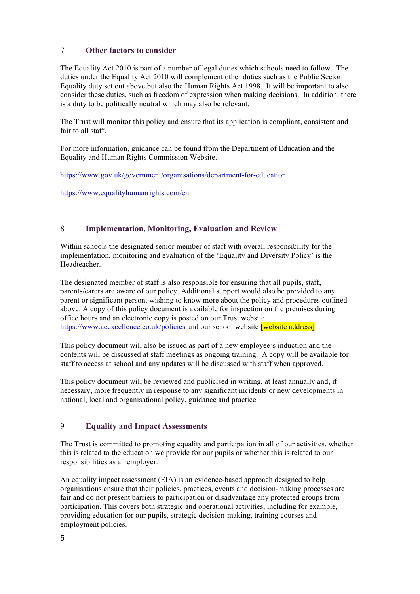#### <span id="page-6-0"></span>7 **Other factors to consider**

The Equality Act 2010 is part of a number of legal duties which schools need to follow. The duties under the Equality Act 2010 will complement other duties such as the Public Sector Equality duty set out above but also the Human Rights Act 1998. It will be important to also consider these duties, such as freedom of expression when making decisions. In addition, there is a duty to be politically neutral which may also be relevant.

The Trust will monitor this policy and ensure that its application is compliant, consistent and fair to all staff.

For more information, guidance can be found from the Department of Education and the Equality and Human Rights Commission Website.

<https://www.gov.uk/government/organisations/department-for-education>

<https://www.equalityhumanrights.com/en>

#### <span id="page-6-1"></span>8 **Implementation, Monitoring, Evaluation and Review**

Within schools the designated senior member of staff with overall responsibility for the implementation, monitoring and evaluation of the 'Equality and Diversity Policy' is the Headteacher.

The designated member of staff is also responsible for ensuring that all pupils, staff, parents/carers are aware of our policy. Additional support would also be provided to any parent or significant person, wishing to know more about the policy and procedures outlined above. A copy of this policy document is available for inspection on the premises during office hours and an electronic copy is posted on our Trust website <https://www.acexcellence.co.uk/policies> and our school website **[website address]** 

This policy document will also be issued as part of a new employee's induction and the contents will be discussed at staff meetings as ongoing training. A copy will be available for staff to access at school and any updates will be discussed with staff when approved.

This policy document will be reviewed and publicised in writing, at least annually and, if necessary, more frequently in response to any significant incidents or new developments in national, local and organisational policy, guidance and practice

#### <span id="page-6-2"></span>9 **Equality and Impact Assessments**

The Trust is committed to promoting equality and participation in all of our activities, whether this is related to the education we provide for our pupils or whether this is related to our responsibilities as an employer.

An equality impact assessment (EIA) is an evidence-based approach designed to help organisations ensure that their policies, practices, events and decision-making processes are fair and do not present barriers to participation or disadvantage any protected groups from participation. This covers both strategic and operational activities, including for example, providing education for our pupils, strategic decision-making, training courses and employment policies.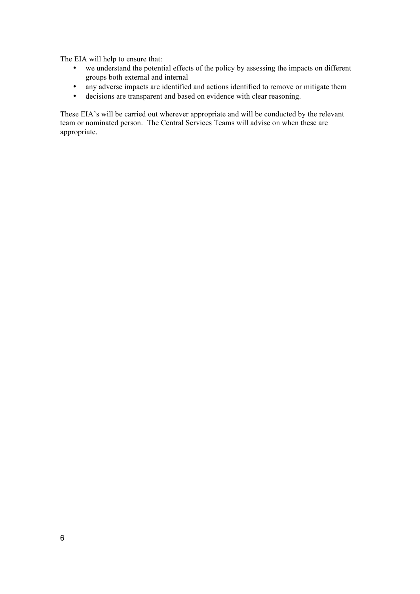The EIA will help to ensure that:

- we understand the potential effects of the policy by assessing the impacts on different groups both external and internal
- any adverse impacts are identified and actions identified to remove or mitigate them
- decisions are transparent and based on evidence with clear reasoning.

These EIA's will be carried out wherever appropriate and will be conducted by the relevant team or nominated person. The Central Services Teams will advise on when these are appropriate.